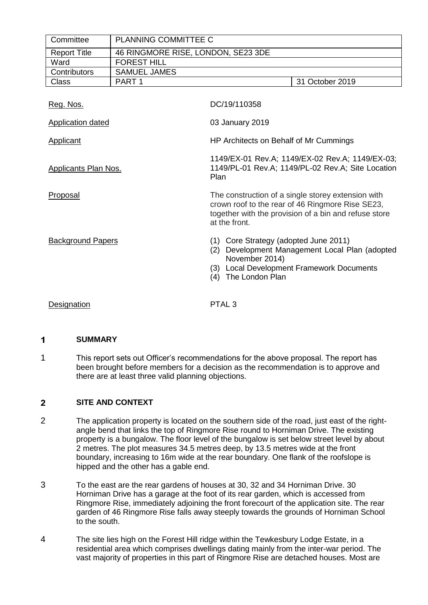| Committee                   | PLANNING COMMITTEE C               |                                                                                                                                                                                  |                 |  |
|-----------------------------|------------------------------------|----------------------------------------------------------------------------------------------------------------------------------------------------------------------------------|-----------------|--|
| <b>Report Title</b>         | 46 RINGMORE RISE, LONDON, SE23 3DE |                                                                                                                                                                                  |                 |  |
| Ward                        | <b>FOREST HILL</b>                 |                                                                                                                                                                                  |                 |  |
| Contributors                | <b>SAMUEL JAMES</b>                |                                                                                                                                                                                  |                 |  |
| <b>Class</b>                | PART <sub>1</sub>                  |                                                                                                                                                                                  | 31 October 2019 |  |
| Reg. Nos.                   |                                    | DC/19/110358                                                                                                                                                                     |                 |  |
| Application dated           |                                    | 03 January 2019                                                                                                                                                                  |                 |  |
| Applicant                   |                                    | HP Architects on Behalf of Mr Cummings                                                                                                                                           |                 |  |
| <b>Applicants Plan Nos.</b> |                                    | 1149/EX-01 Rev.A; 1149/EX-02 Rev.A; 1149/EX-03;<br>1149/PL-01 Rev.A; 1149/PL-02 Rev.A; Site Location<br>Plan                                                                     |                 |  |
| Proposal                    |                                    | The construction of a single storey extension with<br>crown roof to the rear of 46 Ringmore Rise SE23,<br>together with the provision of a bin and refuse store<br>at the front. |                 |  |
| <b>Background Papers</b>    |                                    | (1) Core Strategy (adopted June 2011)<br>(2) Development Management Local Plan (adopted<br>November 2014)<br>(3) Local Development Framework Documents<br>The London Plan<br>(4) |                 |  |
| Designation                 |                                    | PTAL <sub>3</sub>                                                                                                                                                                |                 |  |

### 1 **SUMMARY**

1 This report sets out Officer's recommendations for the above proposal. The report has been brought before members for a decision as the recommendation is to approve and there are at least three valid planning objections.

### $\overline{2}$ **SITE AND CONTEXT**

- 2 The application property is located on the southern side of the road, just east of the rightangle bend that links the top of Ringmore Rise round to Horniman Drive. The existing property is a bungalow. The floor level of the bungalow is set below street level by about 2 metres. The plot measures 34.5 metres deep, by 13.5 metres wide at the front boundary, increasing to 16m wide at the rear boundary. One flank of the roofslope is hipped and the other has a gable end.
- 3 To the east are the rear gardens of houses at 30, 32 and 34 Horniman Drive. 30 Horniman Drive has a garage at the foot of its rear garden, which is accessed from Ringmore Rise, immediately adjoining the front forecourt of the application site. The rear garden of 46 Ringmore Rise falls away steeply towards the grounds of Horniman School to the south.
- 4 The site lies high on the Forest Hill ridge within the Tewkesbury Lodge Estate, in a residential area which comprises dwellings dating mainly from the inter-war period. The vast majority of properties in this part of Ringmore Rise are detached houses. Most are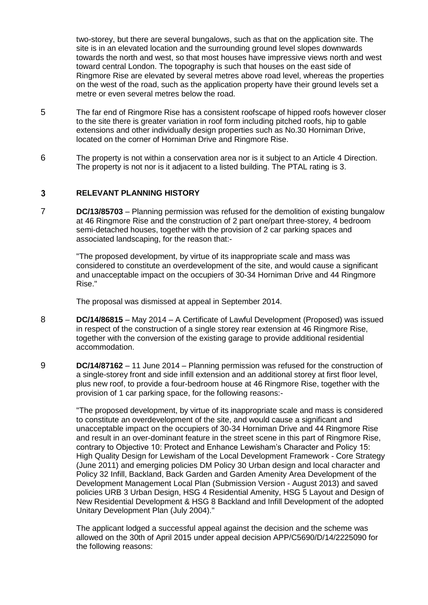two-storey, but there are several bungalows, such as that on the application site. The site is in an elevated location and the surrounding ground level slopes downwards towards the north and west, so that most houses have impressive views north and west toward central London. The topography is such that houses on the east side of Ringmore Rise are elevated by several metres above road level, whereas the properties on the west of the road, such as the application property have their ground levels set a metre or even several metres below the road.

- 5 The far end of Ringmore Rise has a consistent roofscape of hipped roofs however closer to the site there is greater variation in roof form including pitched roofs, hip to gable extensions and other individually design properties such as No.30 Horniman Drive, located on the corner of Horniman Drive and Ringmore Rise.
- 6 The property is not within a conservation area nor is it subject to an Article 4 Direction. The property is not nor is it adjacent to a listed building. The PTAL rating is 3.

### $\overline{3}$ **RELEVANT PLANNING HISTORY**

7 **DC/13/85703** – Planning permission was refused for the demolition of existing bungalow at 46 Ringmore Rise and the construction of 2 part one/part three-storey, 4 bedroom semi-detached houses, together with the provision of 2 car parking spaces and associated landscaping, for the reason that:-

> "The proposed development, by virtue of its inappropriate scale and mass was considered to constitute an overdevelopment of the site, and would cause a significant and unacceptable impact on the occupiers of 30-34 Horniman Drive and 44 Ringmore Rise."

The proposal was dismissed at appeal in September 2014.

- 8 **DC/14/86815** May 2014 A Certificate of Lawful Development (Proposed) was issued in respect of the construction of a single storey rear extension at 46 Ringmore Rise, together with the conversion of the existing garage to provide additional residential accommodation.
- 9 **DC/14/87162** 11 June 2014 Planning permission was refused for the construction of a single-storey front and side infill extension and an additional storey at first floor level, plus new roof, to provide a four-bedroom house at 46 Ringmore Rise, together with the provision of 1 car parking space, for the following reasons:-

"The proposed development, by virtue of its inappropriate scale and mass is considered to constitute an overdevelopment of the site, and would cause a significant and unacceptable impact on the occupiers of 30-34 Horniman Drive and 44 Ringmore Rise and result in an over-dominant feature in the street scene in this part of Ringmore Rise, contrary to Objective 10: Protect and Enhance Lewisham's Character and Policy 15: High Quality Design for Lewisham of the Local Development Framework - Core Strategy (June 2011) and emerging policies DM Policy 30 Urban design and local character and Policy 32 Infill, Backland, Back Garden and Garden Amenity Area Development of the Development Management Local Plan (Submission Version - August 2013) and saved policies URB 3 Urban Design, HSG 4 Residential Amenity, HSG 5 Layout and Design of New Residential Development & HSG 8 Backland and Infill Development of the adopted Unitary Development Plan (July 2004)."

The applicant lodged a successful appeal against the decision and the scheme was allowed on the 30th of April 2015 under appeal decision APP/C5690/D/14/2225090 for the following reasons: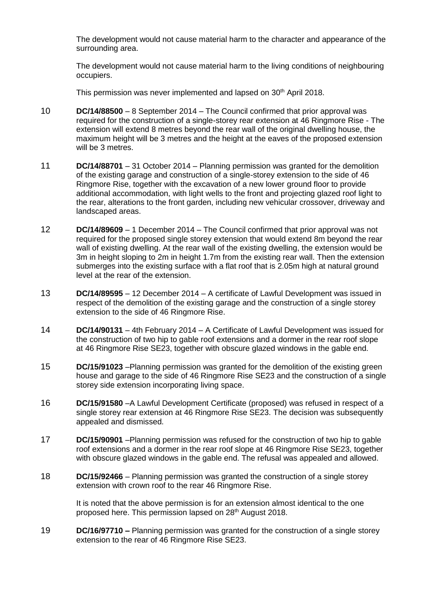The development would not cause material harm to the character and appearance of the surrounding area.

The development would not cause material harm to the living conditions of neighbouring occupiers.

This permission was never implemented and lapsed on 30<sup>th</sup> April 2018.

- 10 **DC/14/88500** 8 September 2014 The Council confirmed that prior approval was required for the construction of a single-storey rear extension at 46 Ringmore Rise - The extension will extend 8 metres beyond the rear wall of the original dwelling house, the maximum height will be 3 metres and the height at the eaves of the proposed extension will be 3 metres.
- 11 **DC/14/88701** 31 October 2014 Planning permission was granted for the demolition of the existing garage and construction of a single-storey extension to the side of 46 Ringmore Rise, together with the excavation of a new lower ground floor to provide additional accommodation, with light wells to the front and projecting glazed roof light to the rear, alterations to the front garden, including new vehicular crossover, driveway and landscaped areas.
- 12 **DC/14/89609** 1 December 2014 The Council confirmed that prior approval was not required for the proposed single storey extension that would extend 8m beyond the rear wall of existing dwelling. At the rear wall of the existing dwelling, the extension would be 3m in height sloping to 2m in height 1.7m from the existing rear wall. Then the extension submerges into the existing surface with a flat roof that is 2.05m high at natural ground level at the rear of the extension.
- 13 **DC/14/89595** 12 December 2014 A certificate of Lawful Development was issued in respect of the demolition of the existing garage and the construction of a single storey extension to the side of 46 Ringmore Rise.
- 14 **DC/14/90131** 4th February 2014 A Certificate of Lawful Development was issued for the construction of two hip to gable roof extensions and a dormer in the rear roof slope at 46 Ringmore Rise SE23, together with obscure glazed windows in the gable end.
- 15 **DC/15/91023** –Planning permission was granted for the demolition of the existing green house and garage to the side of 46 Ringmore Rise SE23 and the construction of a single storey side extension incorporating living space.
- 16 **DC/15/91580** –A Lawful Development Certificate (proposed) was refused in respect of a single storey rear extension at 46 Ringmore Rise SE23. The decision was subsequently appealed and dismissed.
- 17 **DC/15/90901** –Planning permission was refused for the construction of two hip to gable roof extensions and a dormer in the rear roof slope at 46 Ringmore Rise SE23, together with obscure glazed windows in the gable end. The refusal was appealed and allowed.
- 18 **DC/15/92466**  Planning permission was granted the construction of a single storey extension with crown roof to the rear 46 Ringmore Rise.

It is noted that the above permission is for an extension almost identical to the one proposed here. This permission lapsed on 28<sup>th</sup> August 2018.

19 **DC/16/97710 –** Planning permission was granted for the construction of a single storey extension to the rear of 46 Ringmore Rise SE23.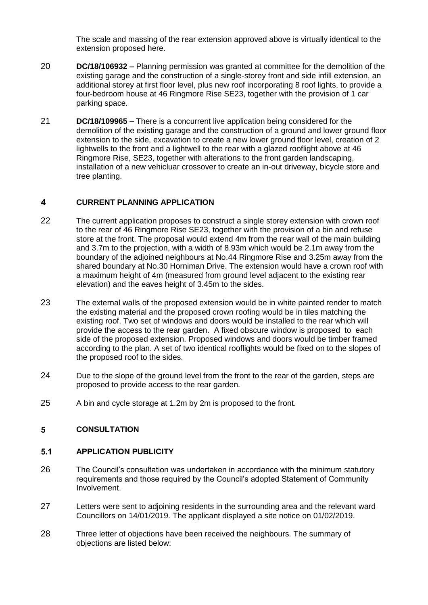The scale and massing of the rear extension approved above is virtually identical to the extension proposed here.

- 20 **DC/18/106932 –** Planning permission was granted at committee for the demolition of the existing garage and the construction of a single-storey front and side infill extension, an additional storey at first floor level, plus new roof incorporating 8 roof lights, to provide a four-bedroom house at 46 Ringmore Rise SE23, together with the provision of 1 car parking space.
- 21 **DC/18/109965 –** There is a concurrent live application being considered for the demolition of the existing garage and the construction of a ground and lower ground floor extension to the side, excavation to create a new lower ground floor level, creation of 2 lightwells to the front and a lightwell to the rear with a glazed rooflight above at 46 Ringmore Rise, SE23, together with alterations to the front garden landscaping, installation of a new vehicluar crossover to create an in-out driveway, bicycle store and tree planting.

### $\blacktriangle$ **CURRENT PLANNING APPLICATION**

- 22 The current application proposes to construct a single storey extension with crown roof to the rear of 46 Ringmore Rise SE23, together with the provision of a bin and refuse store at the front. The proposal would extend 4m from the rear wall of the main building and 3.7m to the projection, with a width of 8.93m which would be 2.1m away from the boundary of the adjoined neighbours at No.44 Ringmore Rise and 3.25m away from the shared boundary at No.30 Horniman Drive. The extension would have a crown roof with a maximum height of 4m (measured from ground level adjacent to the existing rear elevation) and the eaves height of 3.45m to the sides.
- 23 The external walls of the proposed extension would be in white painted render to match the existing material and the proposed crown roofing would be in tiles matching the existing roof. Two set of windows and doors would be installed to the rear which will provide the access to the rear garden. A fixed obscure window is proposed to each side of the proposed extension. Proposed windows and doors would be timber framed according to the plan. A set of two identical rooflights would be fixed on to the slopes of the proposed roof to the sides.
- 24 Due to the slope of the ground level from the front to the rear of the garden, steps are proposed to provide access to the rear garden.
- 25 A bin and cycle storage at 1.2m by 2m is proposed to the front.

## $5<sup>1</sup>$ **CONSULTATION**

### $5.1$ **APPLICATION PUBLICITY**

- 26 The Council's consultation was undertaken in accordance with the minimum statutory requirements and those required by the Council's adopted Statement of Community Involvement.
- 27 Letters were sent to adjoining residents in the surrounding area and the relevant ward Councillors on 14/01/2019. The applicant displayed a site notice on 01/02/2019.
- 28 Three letter of objections have been received the neighbours. The summary of objections are listed below: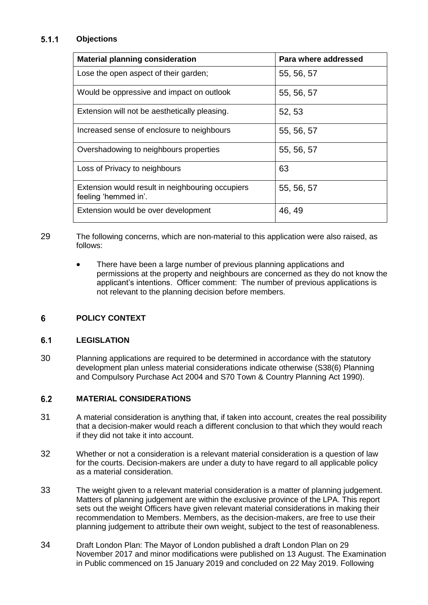### $5.1.1$ **Objections**

| <b>Material planning consideration</b>                                   | Para where addressed |
|--------------------------------------------------------------------------|----------------------|
| Lose the open aspect of their garden;                                    | 55, 56, 57           |
| Would be oppressive and impact on outlook                                | 55, 56, 57           |
| Extension will not be aesthetically pleasing.                            | 52, 53               |
| Increased sense of enclosure to neighbours                               | 55, 56, 57           |
| Overshadowing to neighbours properties                                   | 55, 56, 57           |
| Loss of Privacy to neighbours                                            | 63                   |
| Extension would result in neighbouring occupiers<br>feeling 'hemmed in'. | 55, 56, 57           |
| Extension would be over development                                      | 46, 49               |

29 The following concerns, which are non-material to this application were also raised, as follows:

> • There have been a large number of previous planning applications and permissions at the property and neighbours are concerned as they do not know the applicant's intentions. Officer comment: The number of previous applications is not relevant to the planning decision before members.

## 6 **POLICY CONTEXT**

### $6.1$ **LEGISLATION**

30 Planning applications are required to be determined in accordance with the statutory development plan unless material considerations indicate otherwise (S38(6) Planning and Compulsory Purchase Act 2004 and S70 Town & Country Planning Act 1990).

### $6.2$ **MATERIAL CONSIDERATIONS**

- 31 A material consideration is anything that, if taken into account, creates the real possibility that a decision-maker would reach a different conclusion to that which they would reach if they did not take it into account.
- 32 Whether or not a consideration is a relevant material consideration is a question of law for the courts. Decision-makers are under a duty to have regard to all applicable policy as a material consideration.
- 33 The weight given to a relevant material consideration is a matter of planning judgement. Matters of planning judgement are within the exclusive province of the LPA. This report sets out the weight Officers have given relevant material considerations in making their recommendation to Members. Members, as the decision-makers, are free to use their planning judgement to attribute their own weight, subject to the test of reasonableness.
- 34 Draft London Plan: The Mayor of London published a draft London Plan on 29 November 2017 and minor modifications were published on 13 August. The Examination in Public commenced on 15 January 2019 and concluded on 22 May 2019. Following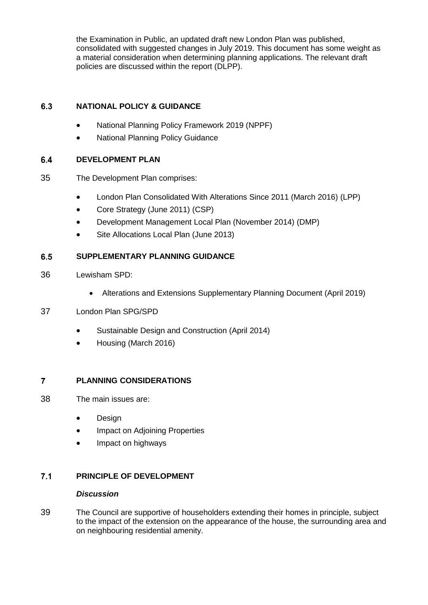the Examination in Public, an updated draft new London Plan was published, consolidated with suggested changes in July 2019. This document has some weight as a material consideration when determining planning applications. The relevant draft policies are discussed within the report (DLPP).

### $6.3$ **NATIONAL POLICY & GUIDANCE**

- National Planning Policy Framework 2019 (NPPF)
- National Planning Policy Guidance

### $6.4$ **DEVELOPMENT PLAN**

- 35 The Development Plan comprises:
	- London Plan Consolidated With Alterations Since 2011 (March 2016) (LPP)
	- Core Strategy (June 2011) (CSP)
	- Development Management Local Plan (November 2014) (DMP)
	- Site Allocations Local Plan (June 2013)

### **SUPPLEMENTARY PLANNING GUIDANCE** 6.5

- 36 Lewisham SPD:
	- Alterations and Extensions Supplementary Planning Document (April 2019)

# 37 London Plan SPG/SPD

- Sustainable Design and Construction (April 2014)
- Housing (March 2016)

### $\overline{7}$ **PLANNING CONSIDERATIONS**

- 38 The main issues are:
	- Design
	- Impact on Adjoining Properties
	- Impact on highways

## $7.1$ **PRINCIPLE OF DEVELOPMENT**

## *Discussion*

39 The Council are supportive of householders extending their homes in principle, subject to the impact of the extension on the appearance of the house, the surrounding area and on neighbouring residential amenity.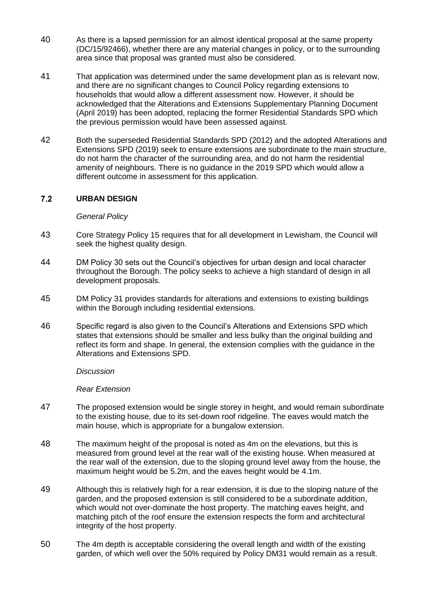- 40 As there is a lapsed permission for an almost identical proposal at the same property (DC/15/92466), whether there are any material changes in policy, or to the surrounding area since that proposal was granted must also be considered.
- 41 That application was determined under the same development plan as is relevant now, and there are no significant changes to Council Policy regarding extensions to households that would allow a different assessment now. However, it should be acknowledged that the Alterations and Extensions Supplementary Planning Document (April 2019) has been adopted, replacing the former Residential Standards SPD which the previous permission would have been assessed against.
- 42 Both the superseded Residential Standards SPD (2012) and the adopted Alterations and Extensions SPD (2019) seek to ensure extensions are subordinate to the main structure, do not harm the character of the surrounding area, and do not harm the residential amenity of neighbours. There is no guidance in the 2019 SPD which would allow a different outcome in assessment for this application.

## $7.2$ **URBAN DESIGN**

# *General Policy*

- 43 Core Strategy Policy 15 requires that for all development in Lewisham, the Council will seek the highest quality design.
- 44 DM Policy 30 sets out the Council's objectives for urban design and local character throughout the Borough. The policy seeks to achieve a high standard of design in all development proposals.
- 45 DM Policy 31 provides standards for alterations and extensions to existing buildings within the Borough including residential extensions.
- 46 Specific regard is also given to the Council's Alterations and Extensions SPD which states that extensions should be smaller and less bulky than the original building and reflect its form and shape. In general, the extension complies with the guidance in the Alterations and Extensions SPD.

*Discussion*

*Rear Extension*

- 47 The proposed extension would be single storey in height, and would remain subordinate to the existing house, due to its set-down roof ridgeline. The eaves would match the main house, which is appropriate for a bungalow extension.
- 48 The maximum height of the proposal is noted as 4m on the elevations, but this is measured from ground level at the rear wall of the existing house. When measured at the rear wall of the extension, due to the sloping ground level away from the house, the maximum height would be 5.2m, and the eaves height would be 4.1m.
- 49 Although this is relatively high for a rear extension, it is due to the sloping nature of the garden, and the proposed extension is still considered to be a subordinate addition, which would not over-dominate the host property. The matching eaves height, and matching pitch of the roof ensure the extension respects the form and architectural integrity of the host property.
- 50 The 4m depth is acceptable considering the overall length and width of the existing garden, of which well over the 50% required by Policy DM31 would remain as a result.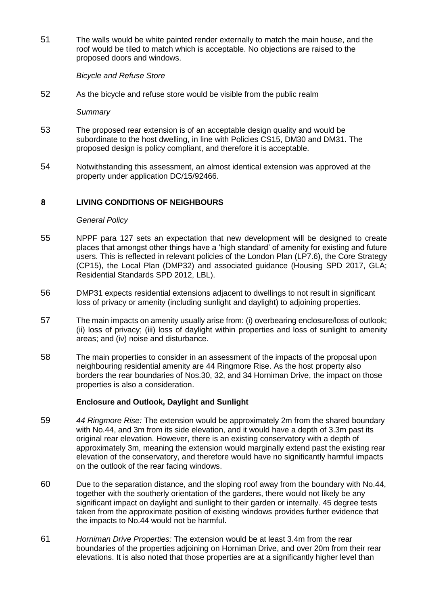51 The walls would be white painted render externally to match the main house, and the roof would be tiled to match which is acceptable. No objections are raised to the proposed doors and windows.

# *Bicycle and Refuse Store*

52 As the bicycle and refuse store would be visible from the public realm

*Summary* 

- 53 The proposed rear extension is of an acceptable design quality and would be subordinate to the host dwelling, in line with Policies CS15, DM30 and DM31. The proposed design is policy compliant, and therefore it is acceptable.
- 54 Notwithstanding this assessment, an almost identical extension was approved at the property under application DC/15/92466.

### $\mathbf{R}$ **LIVING CONDITIONS OF NEIGHBOURS**

## *General Policy*

- 55 NPPF para 127 sets an expectation that new development will be designed to create places that amongst other things have a 'high standard' of amenity for existing and future users. This is reflected in relevant policies of the London Plan (LP7.6), the Core Strategy (CP15), the Local Plan (DMP32) and associated guidance (Housing SPD 2017, GLA; Residential Standards SPD 2012, LBL).
- 56 DMP31 expects residential extensions adjacent to dwellings to not result in significant loss of privacy or amenity (including sunlight and daylight) to adjoining properties.
- 57 The main impacts on amenity usually arise from: (i) overbearing enclosure/loss of outlook; (ii) loss of privacy; (iii) loss of daylight within properties and loss of sunlight to amenity areas; and (iv) noise and disturbance.
- 58 The main properties to consider in an assessment of the impacts of the proposal upon neighbouring residential amenity are 44 Ringmore Rise. As the host property also borders the rear boundaries of Nos.30, 32, and 34 Horniman Drive, the impact on those properties is also a consideration.

# **Enclosure and Outlook, Daylight and Sunlight**

- 59 *44 Ringmore Rise:* The extension would be approximately 2m from the shared boundary with No.44, and 3m from its side elevation, and it would have a depth of 3.3m past its original rear elevation. However, there is an existing conservatory with a depth of approximately 3m, meaning the extension would marginally extend past the existing rear elevation of the conservatory, and therefore would have no significantly harmful impacts on the outlook of the rear facing windows.
- 60 Due to the separation distance, and the sloping roof away from the boundary with No.44, together with the southerly orientation of the gardens, there would not likely be any significant impact on daylight and sunlight to their garden or internally. 45 degree tests taken from the approximate position of existing windows provides further evidence that the impacts to No.44 would not be harmful.
- 61 *Horniman Drive Properties:* The extension would be at least 3.4m from the rear boundaries of the properties adjoining on Horniman Drive, and over 20m from their rear elevations. It is also noted that those properties are at a significantly higher level than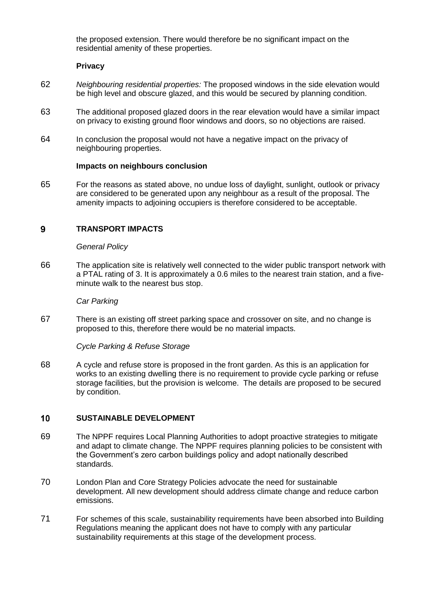the proposed extension. There would therefore be no significant impact on the residential amenity of these properties.

# **Privacy**

- 62 *Neighbouring residential properties:* The proposed windows in the side elevation would be high level and obscure glazed, and this would be secured by planning condition.
- 63 The additional proposed glazed doors in the rear elevation would have a similar impact on privacy to existing ground floor windows and doors, so no objections are raised.
- 64 In conclusion the proposal would not have a negative impact on the privacy of neighbouring properties.

## **Impacts on neighbours conclusion**

65 For the reasons as stated above, no undue loss of daylight, sunlight, outlook or privacy are considered to be generated upon any neighbour as a result of the proposal. The amenity impacts to adjoining occupiers is therefore considered to be acceptable.

### $9$ **TRANSPORT IMPACTS**

## *General Policy*

66 The application site is relatively well connected to the wider public transport network with a PTAL rating of 3. It is approximately a 0.6 miles to the nearest train station, and a fiveminute walk to the nearest bus stop.

## *Car Parking*

67 There is an existing off street parking space and crossover on site, and no change is proposed to this, therefore there would be no material impacts.

*Cycle Parking & Refuse Storage*

68 A cycle and refuse store is proposed in the front garden. As this is an application for works to an existing dwelling there is no requirement to provide cycle parking or refuse storage facilities, but the provision is welcome. The details are proposed to be secured by condition.

#### $10$ **SUSTAINABLE DEVELOPMENT**

- 69 The NPPF requires Local Planning Authorities to adopt proactive strategies to mitigate and adapt to climate change. The NPPF requires planning policies to be consistent with the Government's zero carbon buildings policy and adopt nationally described standards.
- 70 London Plan and Core Strategy Policies advocate the need for sustainable development. All new development should address climate change and reduce carbon emissions.
- 71 For schemes of this scale, sustainability requirements have been absorbed into Building Regulations meaning the applicant does not have to comply with any particular sustainability requirements at this stage of the development process.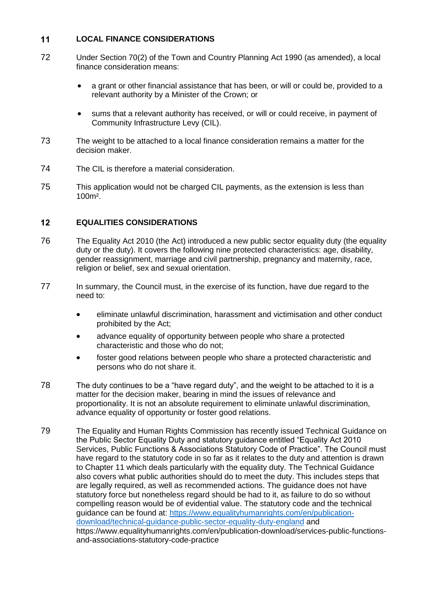### $11$ **LOCAL FINANCE CONSIDERATIONS**

- 72 Under Section 70(2) of the Town and Country Planning Act 1990 (as amended), a local finance consideration means:
	- a grant or other financial assistance that has been, or will or could be, provided to a relevant authority by a Minister of the Crown; or
	- sums that a relevant authority has received, or will or could receive, in payment of Community Infrastructure Levy (CIL).
- 73 The weight to be attached to a local finance consideration remains a matter for the decision maker.
- 74 The CIL is therefore a material consideration.
- 75 This application would not be charged CIL payments, as the extension is less than 100m².

### $12$ **EQUALITIES CONSIDERATIONS**

- 76 The Equality Act 2010 (the Act) introduced a new public sector equality duty (the equality duty or the duty). It covers the following nine protected characteristics: age, disability, gender reassignment, marriage and civil partnership, pregnancy and maternity, race, religion or belief, sex and sexual orientation.
- 77 In summary, the Council must, in the exercise of its function, have due regard to the need to:
	- eliminate unlawful discrimination, harassment and victimisation and other conduct prohibited by the Act;
	- advance equality of opportunity between people who share a protected characteristic and those who do not;
	- foster good relations between people who share a protected characteristic and persons who do not share it.
- 78 The duty continues to be a "have regard duty", and the weight to be attached to it is a matter for the decision maker, bearing in mind the issues of relevance and proportionality. It is not an absolute requirement to eliminate unlawful discrimination, advance equality of opportunity or foster good relations.
- 79 The Equality and Human Rights Commission has recently issued Technical Guidance on the Public Sector Equality Duty and statutory guidance entitled "Equality Act 2010 Services, Public Functions & Associations Statutory Code of Practice". The Council must have regard to the statutory code in so far as it relates to the duty and attention is drawn to Chapter 11 which deals particularly with the equality duty. The Technical Guidance also covers what public authorities should do to meet the duty. This includes steps that are legally required, as well as recommended actions. The guidance does not have statutory force but nonetheless regard should be had to it, as failure to do so without compelling reason would be of evidential value. The statutory code and the technical guidance can be found at: [https://www.equalityhumanrights.com/en/publication](https://www.equalityhumanrights.com/en/publication-download/technical-guidance-public-sector-equality-duty-england)[download/technical-guidance-public-sector-equality-duty-england](https://www.equalityhumanrights.com/en/publication-download/technical-guidance-public-sector-equality-duty-england) and https://www.equalityhumanrights.com/en/publication-download/services-public-functionsand-associations-statutory-code-practice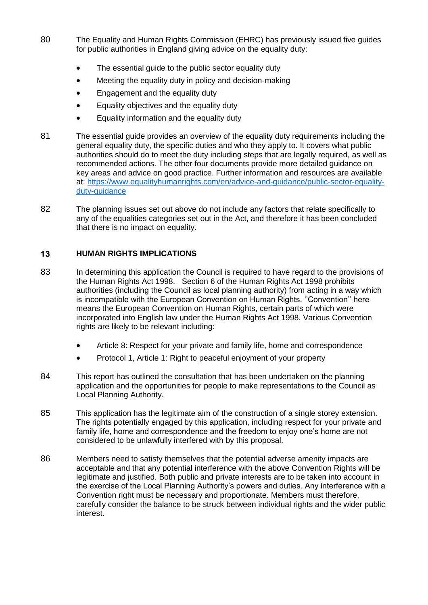- 80 The Equality and Human Rights Commission (EHRC) has previously issued five guides for public authorities in England giving advice on the equality duty:
	- The essential guide to the public sector equality duty
	- Meeting the equality duty in policy and decision-making
	- Engagement and the equality duty
	- Equality objectives and the equality duty
	- **Equality information and the equality duty**
- 81 The essential guide provides an overview of the equality duty requirements including the general equality duty, the specific duties and who they apply to. It covers what public authorities should do to meet the duty including steps that are legally required, as well as recommended actions. The other four documents provide more detailed guidance on key areas and advice on good practice. Further information and resources are available at: [https://www.equalityhumanrights.com/en/advice-and-guidance/public-sector-equality](https://www.equalityhumanrights.com/en/advice-and-guidance/public-sector-equality-duty-guidance)[duty-guidance](https://www.equalityhumanrights.com/en/advice-and-guidance/public-sector-equality-duty-guidance)
- 82 The planning issues set out above do not include any factors that relate specifically to any of the equalities categories set out in the Act, and therefore it has been concluded that there is no impact on equality.

## $13$ **HUMAN RIGHTS IMPLICATIONS**

- 83 In determining this application the Council is required to have regard to the provisions of the Human Rights Act 1998. Section 6 of the Human Rights Act 1998 prohibits authorities (including the Council as local planning authority) from acting in a way which is incompatible with the European Convention on Human Rights. ''Convention'' here means the European Convention on Human Rights, certain parts of which were incorporated into English law under the Human Rights Act 1998. Various Convention rights are likely to be relevant including:
	- Article 8: Respect for your private and family life, home and correspondence
	- Protocol 1, Article 1: Right to peaceful enjoyment of your property
- 84 This report has outlined the consultation that has been undertaken on the planning application and the opportunities for people to make representations to the Council as Local Planning Authority.
- 85 This application has the legitimate aim of the construction of a single storey extension. The rights potentially engaged by this application, including respect for your private and family life, home and correspondence and the freedom to enjoy one's home are not considered to be unlawfully interfered with by this proposal.
- 86 Members need to satisfy themselves that the potential adverse amenity impacts are acceptable and that any potential interference with the above Convention Rights will be legitimate and justified. Both public and private interests are to be taken into account in the exercise of the Local Planning Authority's powers and duties. Any interference with a Convention right must be necessary and proportionate. Members must therefore, carefully consider the balance to be struck between individual rights and the wider public interest.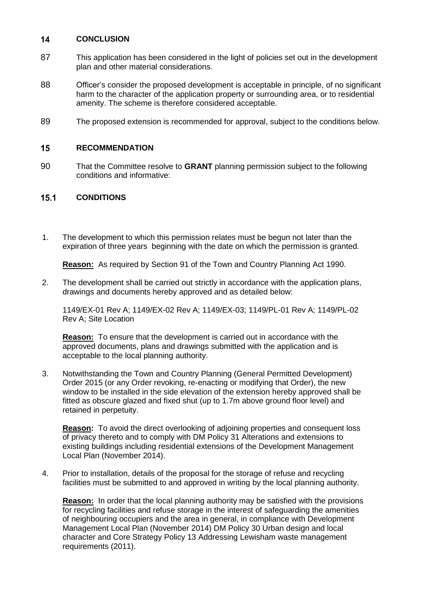### $14$ **CONCLUSION**

- 87 This application has been considered in the light of policies set out in the development plan and other material considerations.
- 88 Officer's consider the proposed development is acceptable in principle, of no significant harm to the character of the application property or surrounding area, or to residential amenity. The scheme is therefore considered acceptable.
- 89 The proposed extension is recommended for approval, subject to the conditions below.

### $15$ **RECOMMENDATION**

90 That the Committee resolve to **GRANT** planning permission subject to the following conditions and informative:

### $15.1$ **CONDITIONS**

1. The development to which this permission relates must be begun not later than the expiration of three years beginning with the date on which the permission is granted.

**Reason:** As required by Section 91 of the Town and Country Planning Act 1990.

2. The development shall be carried out strictly in accordance with the application plans, drawings and documents hereby approved and as detailed below:

1149/EX-01 Rev A; 1149/EX-02 Rev A; 1149/EX-03; 1149/PL-01 Rev A; 1149/PL-02 Rev A; Site Location

**Reason:** To ensure that the development is carried out in accordance with the approved documents, plans and drawings submitted with the application and is acceptable to the local planning authority.

3. Notwithstanding the Town and Country Planning (General Permitted Development) Order 2015 (or any Order revoking, re-enacting or modifying that Order), the new window to be installed in the side elevation of the extension hereby approved shall be fitted as obscure glazed and fixed shut (up to 1.7m above ground floor level) and retained in perpetuity.

**Reason:** To avoid the direct overlooking of adjoining properties and consequent loss of privacy thereto and to comply with DM Policy 31 Alterations and extensions to existing buildings including residential extensions of the Development Management Local Plan (November 2014).

4. Prior to installation, details of the proposal for the storage of refuse and recycling facilities must be submitted to and approved in writing by the local planning authority.

**Reason:** In order that the local planning authority may be satisfied with the provisions for recycling facilities and refuse storage in the interest of safeguarding the amenities of neighbouring occupiers and the area in general, in compliance with Development Management Local Plan (November 2014) DM Policy 30 Urban design and local character and Core Strategy Policy 13 Addressing Lewisham waste management requirements (2011).